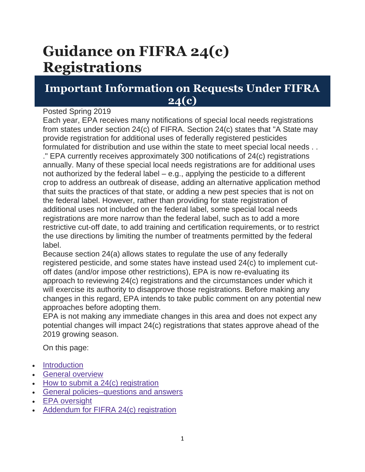# **Guidance on FIFRA 24(c) Registrations**

# **Important Information on Requests Under FIFRA 24(c)**

#### Posted Spring 2019

Each year, EPA receives many notifications of special local needs registrations from states under section 24(c) of FIFRA. Section 24(c) states that "A State may provide registration for additional uses of federally registered pesticides formulated for distribution and use within the state to meet special local needs . . ." EPA currently receives approximately 300 notifications of 24(c) registrations annually. Many of these special local needs registrations are for additional uses not authorized by the federal label – e.g., applying the pesticide to a different crop to address an outbreak of disease, adding an alternative application method that suits the practices of that state, or adding a new pest species that is not on the federal label. However, rather than providing for state registration of additional uses not included on the federal label, some special local needs registrations are more narrow than the federal label, such as to add a more restrictive cut-off date, to add training and certification requirements, or to restrict the use directions by limiting the number of treatments permitted by the federal label.

Because section 24(a) allows states to regulate the use of any federally registered pesticide, and some states have instead used 24(c) to implement cutoff dates (and/or impose other restrictions), EPA is now re-evaluating its approach to reviewing 24(c) registrations and the circumstances under which it will exercise its authority to disapprove those registrations. Before making any changes in this regard, EPA intends to take public comment on any potential new approaches before adopting them.

EPA is not making any immediate changes in this area and does not expect any potential changes will impact 24(c) registrations that states approve ahead of the 2019 growing season.

On this page:

- [Introduction](https://www.epa.gov/pesticide-registration/guidance-fifra-24c-registrations#Introduction)
- [General overview](https://www.epa.gov/pesticide-registration/guidance-fifra-24c-registrations#General%20Overview)
- $\bullet$  [How to submit a 24\(c\) registration](https://www.epa.gov/pesticide-registration/guidance-fifra-24c-registrations#How%20To)
- [General policies--questions and answers](https://www.epa.gov/pesticide-registration/guidance-fifra-24c-registrations#General%20Policies)
- [EPA oversight](https://www.epa.gov/pesticide-registration/guidance-fifra-24c-registrations#EPA%20Oversight)
- [Addendum for FIFRA 24\(c\) registration](https://www.epa.gov/pesticide-registration/guidance-fifra-24c-registrations#addendum)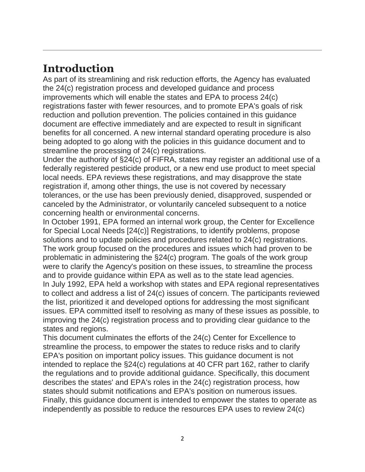# **Introduction**

As part of its streamlining and risk reduction efforts, the Agency has evaluated the 24(c) registration process and developed guidance and process improvements which will enable the states and EPA to process 24(c) registrations faster with fewer resources, and to promote EPA's goals of risk reduction and pollution prevention. The policies contained in this guidance document are effective immediately and are expected to result in significant benefits for all concerned. A new internal standard operating procedure is also being adopted to go along with the policies in this guidance document and to streamline the processing of 24(c) registrations.

Under the authority of §24(c) of FIFRA, states may register an additional use of a federally registered pesticide product, or a new end use product to meet special local needs. EPA reviews these registrations, and may disapprove the state registration if, among other things, the use is not covered by necessary tolerances, or the use has been previously denied, disapproved, suspended or canceled by the Administrator, or voluntarily canceled subsequent to a notice concerning health or environmental concerns.

In October 1991, EPA formed an internal work group, the Center for Excellence for Special Local Needs [24(c)] Registrations, to identify problems, propose solutions and to update policies and procedures related to 24(c) registrations. The work group focused on the procedures and issues which had proven to be problematic in administering the §24(c) program. The goals of the work group were to clarify the Agency's position on these issues, to streamline the process and to provide guidance within EPA as well as to the state lead agencies. In July 1992, EPA held a workshop with states and EPA regional representatives to collect and address a list of 24(c) issues of concern. The participants reviewed the list, prioritized it and developed options for addressing the most significant issues. EPA committed itself to resolving as many of these issues as possible, to improving the 24(c) registration process and to providing clear guidance to the states and regions.

This document culminates the efforts of the 24(c) Center for Excellence to streamline the process, to empower the states to reduce risks and to clarify EPA's position on important policy issues. This guidance document is not intended to replace the §24(c) regulations at 40 CFR part 162, rather to clarify the regulations and to provide additional guidance. Specifically, this document describes the states' and EPA's roles in the 24(c) registration process, how states should submit notifications and EPA's position on numerous issues. Finally, this guidance document is intended to empower the states to operate as independently as possible to reduce the resources EPA uses to review 24(c)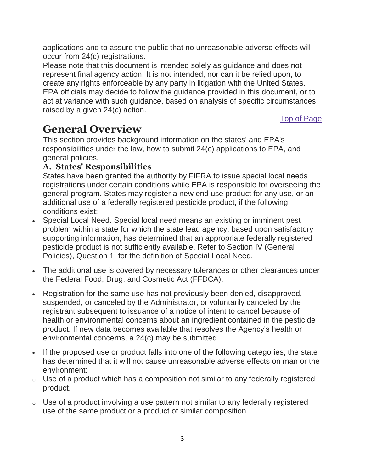applications and to assure the public that no unreasonable adverse effects will occur from 24(c) registrations.

Please note that this document is intended solely as guidance and does not represent final agency action. It is not intended, nor can it be relied upon, to create any rights enforceable by any party in litigation with the United States. EPA officials may decide to follow the guidance provided in this document, or to act at variance with such guidance, based on analysis of specific circumstances raised by a given 24(c) action.

[Top of Page](https://www.epa.gov/pesticide-registration/guidance-fifra-24c-registrations#main-content)

# **General Overview**

This section provides background information on the states' and EPA's responsibilities under the law, how to submit 24(c) applications to EPA, and general policies.

## **A. States' Responsibilities**

States have been granted the authority by FIFRA to issue special local needs registrations under certain conditions while EPA is responsible for overseeing the general program. States may register a new end use product for any use, or an additional use of a federally registered pesticide product, if the following conditions exist:

- Special Local Need. Special local need means an existing or imminent pest problem within a state for which the state lead agency, based upon satisfactory supporting information, has determined that an appropriate federally registered pesticide product is not sufficiently available. Refer to Section IV (General Policies), Question 1, for the definition of Special Local Need.
- The additional use is covered by necessary tolerances or other clearances under the Federal Food, Drug, and Cosmetic Act (FFDCA).
- Registration for the same use has not previously been denied, disapproved, suspended, or canceled by the Administrator, or voluntarily canceled by the registrant subsequent to issuance of a notice of intent to cancel because of health or environmental concerns about an ingredient contained in the pesticide product. If new data becomes available that resolves the Agency's health or environmental concerns, a 24(c) may be submitted.
- If the proposed use or product falls into one of the following categories, the state has determined that it will not cause unreasonable adverse effects on man or the environment:
- $\circ$  Use of a product which has a composition not similar to any federally registered product.
- $\circ$  Use of a product involving a use pattern not similar to any federally registered use of the same product or a product of similar composition.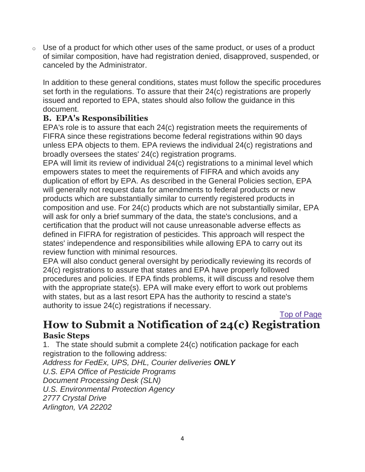$\circ$  Use of a product for which other uses of the same product, or uses of a product of similar composition, have had registration denied, disapproved, suspended, or canceled by the Administrator.

In addition to these general conditions, states must follow the specific procedures set forth in the regulations. To assure that their 24(c) registrations are properly issued and reported to EPA, states should also follow the guidance in this document.

### **B. EPA's Responsibilities**

EPA's role is to assure that each 24(c) registration meets the requirements of FIFRA since these registrations become federal registrations within 90 days unless EPA objects to them. EPA reviews the individual 24(c) registrations and broadly oversees the states' 24(c) registration programs.

EPA will limit its review of individual 24(c) registrations to a minimal level which empowers states to meet the requirements of FIFRA and which avoids any duplication of effort by EPA. As described in the General Policies section, EPA will generally not request data for amendments to federal products or new products which are substantially similar to currently registered products in composition and use. For 24(c) products which are not substantially similar, EPA will ask for only a brief summary of the data, the state's conclusions, and a certification that the product will not cause unreasonable adverse effects as defined in FIFRA for registration of pesticides. This approach will respect the states' independence and responsibilities while allowing EPA to carry out its review function with minimal resources.

EPA will also conduct general oversight by periodically reviewing its records of 24(c) registrations to assure that states and EPA have properly followed procedures and policies. If EPA finds problems, it will discuss and resolve them with the appropriate state(s). EPA will make every effort to work out problems with states, but as a last resort EPA has the authority to rescind a state's authority to issue 24(c) registrations if necessary.

# [Top of Page](https://www.epa.gov/pesticide-registration/guidance-fifra-24c-registrations#main-content) **How to Submit a Notification of 24(c) Registration Basic Steps**

1. The state should submit a complete 24(c) notification package for each registration to the following address:

*Address for FedEx, UPS, DHL, Courier deliveries ONLY U.S. EPA Office of Pesticide Programs Document Processing Desk (SLN) U.S. Environmental Protection Agency 2777 Crystal Drive Arlington, VA 22202*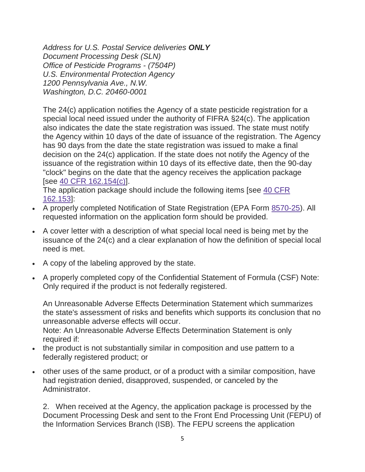*Address for U.S. Postal Service deliveries ONLY Document Processing Desk (SLN) Office of Pesticide Programs - (7504P) U.S. Environmental Protection Agency 1200 Pennsylvania Ave., N.W. Washington, D.C. 20460-0001*

The 24(c) application notifies the Agency of a state pesticide registration for a special local need issued under the authority of FIFRA §24(c). The application also indicates the date the state registration was issued. The state must notify the Agency within 10 days of the date of issuance of the registration. The Agency has 90 days from the date the state registration was issued to make a final decision on the 24(c) application. If the state does not notify the Agency of the issuance of the registration within 10 days of its effective date, then the 90-day "clock" begins on the date that the agency receives the application package [see [40 CFR 162.154\(c\)\]](https://www.ecfr.gov/cgi-bin/text-idx?SID=1df1e2de5ed652c33dd6c5c21bf47cab&mc=true&node=sp40.24.162.d&rgn=div6).

The application package should include the following items [see [40 CFR](https://www.ecfr.gov/cgi-bin/text-idx?SID=1df1e2de5ed652c33dd6c5c21bf47cab&mc=true&node=sp40.24.162.d&rgn=div6)  [162.153\]](https://www.ecfr.gov/cgi-bin/text-idx?SID=1df1e2de5ed652c33dd6c5c21bf47cab&mc=true&node=sp40.24.162.d&rgn=div6):

- A properly completed Notification of State Registration (EPA Form [8570-25\)](https://www.epa.gov/pesticide-registration/pesticide-registration-manual-blank-forms). All requested information on the application form should be provided.
- A cover letter with a description of what special local need is being met by the issuance of the 24(c) and a clear explanation of how the definition of special local need is met.
- A copy of the labeling approved by the state.
- A properly completed copy of the Confidential Statement of Formula (CSF) Note: Only required if the product is not federally registered.

An Unreasonable Adverse Effects Determination Statement which summarizes the state's assessment of risks and benefits which supports its conclusion that no unreasonable adverse effects will occur.

Note: An Unreasonable Adverse Effects Determination Statement is only required if:

- the product is not substantially similar in composition and use pattern to a federally registered product; or
- other uses of the same product, or of a product with a similar composition, have had registration denied, disapproved, suspended, or canceled by the Administrator.

2. When received at the Agency, the application package is processed by the Document Processing Desk and sent to the Front End Processing Unit (FEPU) of the Information Services Branch (ISB). The FEPU screens the application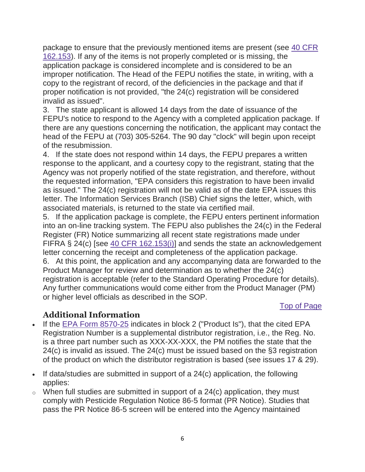package to ensure that the previously mentioned items are present (see [40 CFR](https://www.ecfr.gov/cgi-bin/text-idx?SID=1df1e2de5ed652c33dd6c5c21bf47cab&mc=true&node=sp40.24.162.d&rgn=div6)  [162.153\)](https://www.ecfr.gov/cgi-bin/text-idx?SID=1df1e2de5ed652c33dd6c5c21bf47cab&mc=true&node=sp40.24.162.d&rgn=div6). If any of the items is not properly completed or is missing, the application package is considered incomplete and is considered to be an improper notification. The Head of the FEPU notifies the state, in writing, with a copy to the registrant of record, of the deficiencies in the package and that if proper notification is not provided, "the 24(c) registration will be considered invalid as issued".

3. The state applicant is allowed 14 days from the date of issuance of the FEPU's notice to respond to the Agency with a completed application package. If there are any questions concerning the notification, the applicant may contact the head of the FEPU at (703) 305-5264. The 90 day "clock" will begin upon receipt of the resubmission.

4. If the state does not respond within 14 days, the FEPU prepares a written response to the applicant, and a courtesy copy to the registrant, stating that the Agency was not properly notified of the state registration, and therefore, without the requested information, "EPA considers this registration to have been invalid as issued." The 24(c) registration will not be valid as of the date EPA issues this letter. The Information Services Branch (ISB) Chief signs the letter, which, with associated materials, is returned to the state via certified mail.

5. If the application package is complete, the FEPU enters pertinent information into an on-line tracking system. The FEPU also publishes the 24(c) in the Federal Register (FR) Notice summarizing all recent state registrations made under FIFRA § 24(c) [see [40 CFR 162.153\(i\)\]](https://www.ecfr.gov/cgi-bin/text-idx?SID=1df1e2de5ed652c33dd6c5c21bf47cab&mc=true&node=sp40.24.162.d&rgn=div6) and sends the state an acknowledgement letter concerning the receipt and completeness of the application package.

6. At this point, the application and any accompanying data are forwarded to the Product Manager for review and determination as to whether the 24(c) registration is acceptable (refer to the Standard Operating Procedure for details). Any further communications would come either from the Product Manager (PM) or higher level officials as described in the SOP.

#### [Top of Page](https://www.epa.gov/pesticide-registration/guidance-fifra-24c-registrations#main-content)

## **Additional Information**

- If the [EPA Form 8570-25](https://www.epa.gov/pesticide-registration/pesticide-registration-manual-blank-forms) indicates in block 2 ("Product Is"), that the cited EPA Registration Number is a supplemental distributor registration, i.e., the Reg. No. is a three part number such as XXX-XX-XXX, the PM notifies the state that the 24(c) is invalid as issued. The 24(c) must be issued based on the §3 registration of the product on which the distributor registration is based (see issues 17 & 29).
- If data/studies are submitted in support of a  $24(c)$  application, the following applies:
- $\circ$  When full studies are submitted in support of a 24(c) application, they must comply with Pesticide Regulation Notice 86-5 format (PR Notice). Studies that pass the PR Notice 86-5 screen will be entered into the Agency maintained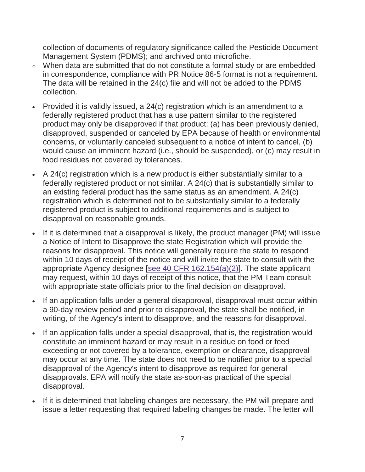collection of documents of regulatory significance called the Pesticide Document Management System (PDMS); and archived onto microfiche.

- o When data are submitted that do not constitute a formal study or are embedded in correspondence, compliance with PR Notice 86-5 format is not a requirement. The data will be retained in the 24(c) file and will not be added to the PDMS collection.
- Provided it is validly issued, a 24(c) registration which is an amendment to a federally registered product that has a use pattern similar to the registered product may only be disapproved if that product: (a) has been previously denied, disapproved, suspended or canceled by EPA because of health or environmental concerns, or voluntarily canceled subsequent to a notice of intent to cancel, (b) would cause an imminent hazard (i.e., should be suspended), or (c) may result in food residues not covered by tolerances.
- A 24(c) registration which is a new product is either substantially similar to a federally registered product or not similar. A 24(c) that is substantially similar to an existing federal product has the same status as an amendment. A 24(c) registration which is determined not to be substantially similar to a federally registered product is subject to additional requirements and is subject to disapproval on reasonable grounds.
- If it is determined that a disapproval is likely, the product manager (PM) will issue a Notice of Intent to Disapprove the state Registration which will provide the reasons for disapproval. This notice will generally require the state to respond within 10 days of receipt of the notice and will invite the state to consult with the appropriate Agency designee [\[see 40 CFR 162.154\(a\)\(2\)\]](https://www.ecfr.gov/cgi-bin/text-idx?SID=1df1e2de5ed652c33dd6c5c21bf47cab&mc=true&node=sp40.24.162.d&rgn=div6). The state applicant may request, within 10 days of receipt of this notice, that the PM Team consult with appropriate state officials prior to the final decision on disapproval.
- If an application falls under a general disapproval, disapproval must occur within a 90-day review period and prior to disapproval, the state shall be notified, in writing, of the Agency's intent to disapprove, and the reasons for disapproval.
- If an application falls under a special disapproval, that is, the registration would constitute an imminent hazard or may result in a residue on food or feed exceeding or not covered by a tolerance, exemption or clearance, disapproval may occur at any time. The state does not need to be notified prior to a special disapproval of the Agency's intent to disapprove as required for general disapprovals. EPA will notify the state as-soon-as practical of the special disapproval.
- If it is determined that labeling changes are necessary, the PM will prepare and issue a letter requesting that required labeling changes be made. The letter will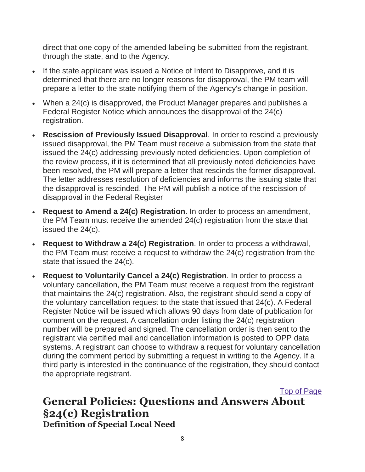direct that one copy of the amended labeling be submitted from the registrant, through the state, and to the Agency.

- If the state applicant was issued a Notice of Intent to Disapprove, and it is determined that there are no longer reasons for disapproval, the PM team will prepare a letter to the state notifying them of the Agency's change in position.
- When a 24(c) is disapproved, the Product Manager prepares and publishes a Federal Register Notice which announces the disapproval of the 24(c) registration.
- **Rescission of Previously Issued Disapproval**. In order to rescind a previously issued disapproval, the PM Team must receive a submission from the state that issued the 24(c) addressing previously noted deficiencies. Upon completion of the review process, if it is determined that all previously noted deficiencies have been resolved, the PM will prepare a letter that rescinds the former disapproval. The letter addresses resolution of deficiencies and informs the issuing state that the disapproval is rescinded. The PM will publish a notice of the rescission of disapproval in the Federal Register
- **Request to Amend a 24(c) Registration**. In order to process an amendment, the PM Team must receive the amended 24(c) registration from the state that issued the 24(c).
- **Request to Withdraw a 24(c) Registration**. In order to process a withdrawal, the PM Team must receive a request to withdraw the 24(c) registration from the state that issued the 24(c).
- **Request to Voluntarily Cancel a 24(c) Registration**. In order to process a voluntary cancellation, the PM Team must receive a request from the registrant that maintains the 24(c) registration. Also, the registrant should send a copy of the voluntary cancellation request to the state that issued that 24(c). A Federal Register Notice will be issued which allows 90 days from date of publication for comment on the request. A cancellation order listing the 24(c) registration number will be prepared and signed. The cancellation order is then sent to the registrant via certified mail and cancellation information is posted to OPP data systems. A registrant can choose to withdraw a request for voluntary cancellation during the comment period by submitting a request in writing to the Agency. If a third party is interested in the continuance of the registration, they should contact the appropriate registrant.

[Top of Page](https://www.epa.gov/pesticide-registration/guidance-fifra-24c-registrations#main-content) **General Policies: Questions and Answers About §24(c) Registration Definition of Special Local Need**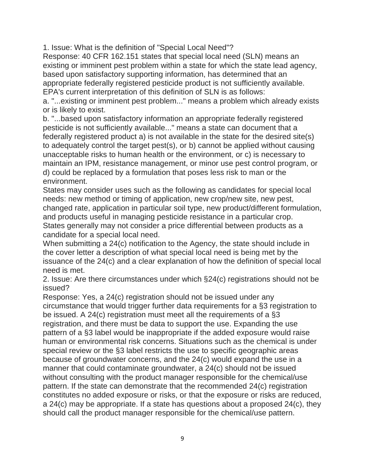1. Issue: What is the definition of "Special Local Need"?

Response: 40 CFR 162.151 states that special local need (SLN) means an existing or imminent pest problem within a state for which the state lead agency, based upon satisfactory supporting information, has determined that an appropriate federally registered pesticide product is not sufficiently available. EPA's current interpretation of this definition of SLN is as follows:

a. "...existing or imminent pest problem..." means a problem which already exists or is likely to exist.

b. "...based upon satisfactory information an appropriate federally registered pesticide is not sufficiently available..." means a state can document that a federally registered product a) is not available in the state for the desired site(s) to adequately control the target pest(s), or b) cannot be applied without causing unacceptable risks to human health or the environment, or c) is necessary to maintain an IPM, resistance management, or minor use pest control program, or d) could be replaced by a formulation that poses less risk to man or the environment.

States may consider uses such as the following as candidates for special local needs: new method or timing of application, new crop/new site, new pest, changed rate, application in particular soil type, new product/different formulation, and products useful in managing pesticide resistance in a particular crop. States generally may not consider a price differential between products as a candidate for a special local need.

When submitting a 24(c) notification to the Agency, the state should include in the cover letter a description of what special local need is being met by the issuance of the 24(c) and a clear explanation of how the definition of special local need is met.

2. Issue: Are there circumstances under which §24(c) registrations should not be issued?

Response: Yes, a 24(c) registration should not be issued under any circumstance that would trigger further data requirements for a §3 registration to be issued. A 24(c) registration must meet all the requirements of a §3 registration, and there must be data to support the use. Expanding the use pattern of a §3 label would be inappropriate if the added exposure would raise human or environmental risk concerns. Situations such as the chemical is under special review or the §3 label restricts the use to specific geographic areas because of groundwater concerns, and the 24(c) would expand the use in a manner that could contaminate groundwater, a 24(c) should not be issued without consulting with the product manager responsible for the chemical/use pattern. If the state can demonstrate that the recommended 24(c) registration constitutes no added exposure or risks, or that the exposure or risks are reduced, a 24(c) may be appropriate. If a state has questions about a proposed 24(c), they should call the product manager responsible for the chemical/use pattern.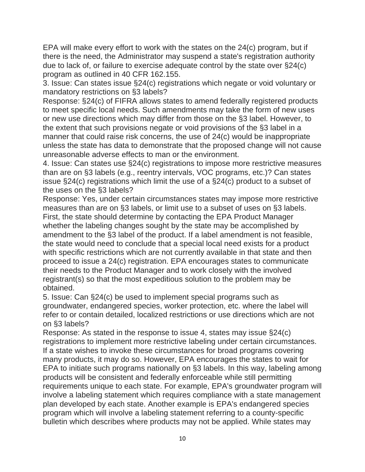EPA will make every effort to work with the states on the 24(c) program, but if there is the need, the Administrator may suspend a state's registration authority due to lack of, or failure to exercise adequate control by the state over §24(c) program as outlined in 40 CFR 162.155.

3. Issue: Can states issue §24(c) registrations which negate or void voluntary or mandatory restrictions on §3 labels?

Response: §24(c) of FIFRA allows states to amend federally registered products to meet specific local needs. Such amendments may take the form of new uses or new use directions which may differ from those on the §3 label. However, to the extent that such provisions negate or void provisions of the §3 label in a manner that could raise risk concerns, the use of 24(c) would be inappropriate unless the state has data to demonstrate that the proposed change will not cause unreasonable adverse effects to man or the environment.

4. Issue: Can states use §24(c) registrations to impose more restrictive measures than are on §3 labels (e.g., reentry intervals, VOC programs, etc.)? Can states issue §24(c) registrations which limit the use of a §24(c) product to a subset of the uses on the §3 labels?

Response: Yes, under certain circumstances states may impose more restrictive measures than are on §3 labels, or limit use to a subset of uses on §3 labels. First, the state should determine by contacting the EPA Product Manager whether the labeling changes sought by the state may be accomplished by amendment to the §3 label of the product. If a label amendment is not feasible, the state would need to conclude that a special local need exists for a product with specific restrictions which are not currently available in that state and then proceed to issue a 24(c) registration. EPA encourages states to communicate their needs to the Product Manager and to work closely with the involved registrant(s) so that the most expeditious solution to the problem may be obtained.

5. Issue: Can §24(c) be used to implement special programs such as groundwater, endangered species, worker protection, etc. where the label will refer to or contain detailed, localized restrictions or use directions which are not on §3 labels?

Response: As stated in the response to issue 4, states may issue §24(c) registrations to implement more restrictive labeling under certain circumstances. If a state wishes to invoke these circumstances for broad programs covering many products, it may do so. However, EPA encourages the states to wait for EPA to initiate such programs nationally on §3 labels. In this way, labeling among products will be consistent and federally enforceable while still permitting requirements unique to each state. For example, EPA's groundwater program will involve a labeling statement which requires compliance with a state management plan developed by each state. Another example is EPA's endangered species program which will involve a labeling statement referring to a county-specific bulletin which describes where products may not be applied. While states may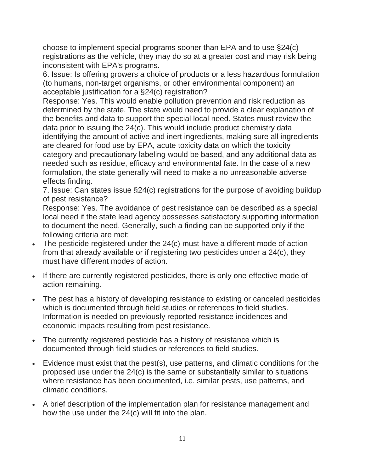choose to implement special programs sooner than EPA and to use §24(c) registrations as the vehicle, they may do so at a greater cost and may risk being inconsistent with EPA's programs.

6. Issue: Is offering growers a choice of products or a less hazardous formulation (to humans, non-target organisms, or other environmental component) an acceptable justification for a §24(c) registration?

Response: Yes. This would enable pollution prevention and risk reduction as determined by the state. The state would need to provide a clear explanation of the benefits and data to support the special local need. States must review the data prior to issuing the 24(c). This would include product chemistry data identifying the amount of active and inert ingredients, making sure all ingredients are cleared for food use by EPA, acute toxicity data on which the toxicity category and precautionary labeling would be based, and any additional data as needed such as residue, efficacy and environmental fate. In the case of a new formulation, the state generally will need to make a no unreasonable adverse effects finding.

7. Issue: Can states issue §24(c) registrations for the purpose of avoiding buildup of pest resistance?

Response: Yes. The avoidance of pest resistance can be described as a special local need if the state lead agency possesses satisfactory supporting information to document the need. Generally, such a finding can be supported only if the following criteria are met:

- The pesticide registered under the 24(c) must have a different mode of action from that already available or if registering two pesticides under a 24(c), they must have different modes of action.
- If there are currently registered pesticides, there is only one effective mode of action remaining.
- The pest has a history of developing resistance to existing or canceled pesticides which is documented through field studies or references to field studies. Information is needed on previously reported resistance incidences and economic impacts resulting from pest resistance.
- The currently registered pesticide has a history of resistance which is documented through field studies or references to field studies.
- Evidence must exist that the pest(s), use patterns, and climatic conditions for the proposed use under the 24(c) is the same or substantially similar to situations where resistance has been documented, i.e. similar pests, use patterns, and climatic conditions.
- A brief description of the implementation plan for resistance management and how the use under the 24(c) will fit into the plan.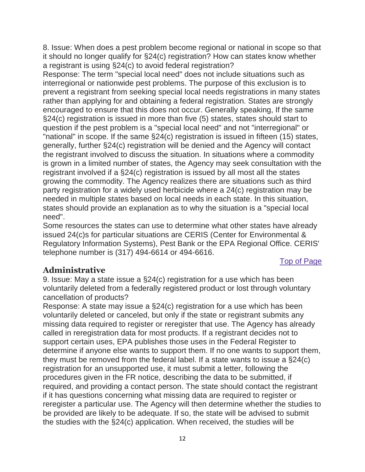8. Issue: When does a pest problem become regional or national in scope so that it should no longer qualify for §24(c) registration? How can states know whether a registrant is using §24(c) to avoid federal registration?

Response: The term "special local need" does not include situations such as interregional or nationwide pest problems. The purpose of this exclusion is to prevent a registrant from seeking special local needs registrations in many states rather than applying for and obtaining a federal registration. States are strongly encouraged to ensure that this does not occur. Generally speaking, If the same §24(c) registration is issued in more than five (5) states, states should start to question if the pest problem is a "special local need" and not "interregional" or "national" in scope. If the same §24(c) registration is issued in fifteen (15) states, generally, further §24(c) registration will be denied and the Agency will contact the registrant involved to discuss the situation. In situations where a commodity is grown in a limited number of states, the Agency may seek consultation with the registrant involved if a §24(c) registration is issued by all most all the states growing the commodity. The Agency realizes there are situations such as third party registration for a widely used herbicide where a 24(c) registration may be needed in multiple states based on local needs in each state. In this situation, states should provide an explanation as to why the situation is a "special local need".

Some resources the states can use to determine what other states have already issued 24(c)s for particular situations are CERIS (Center for Environmental & Regulatory Information Systems), Pest Bank or the EPA Regional Office. CERIS' telephone number is (317) 494-6614 or 494-6616.

[Top of Page](https://www.epa.gov/pesticide-registration/guidance-fifra-24c-registrations#main-content)

# **Administrative**

9. Issue: May a state issue a §24(c) registration for a use which has been voluntarily deleted from a federally registered product or lost through voluntary cancellation of products?

Response: A state may issue a §24(c) registration for a use which has been voluntarily deleted or canceled, but only if the state or registrant submits any missing data required to register or reregister that use. The Agency has already called in reregistration data for most products. If a registrant decides not to support certain uses, EPA publishes those uses in the Federal Register to determine if anyone else wants to support them. If no one wants to support them, they must be removed from the federal label. If a state wants to issue a §24(c) registration for an unsupported use, it must submit a letter, following the procedures given in the FR notice, describing the data to be submitted, if required, and providing a contact person. The state should contact the registrant if it has questions concerning what missing data are required to register or reregister a particular use. The Agency will then determine whether the studies to be provided are likely to be adequate. If so, the state will be advised to submit the studies with the §24(c) application. When received, the studies will be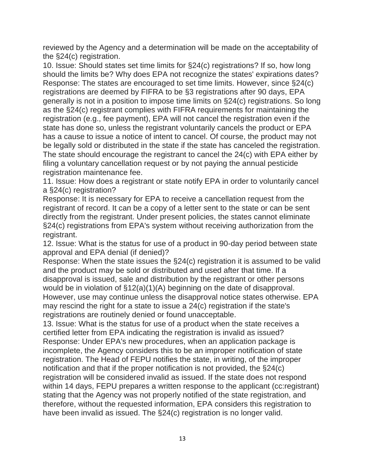reviewed by the Agency and a determination will be made on the acceptability of the §24(c) registration.

10. Issue: Should states set time limits for §24(c) registrations? If so, how long should the limits be? Why does EPA not recognize the states' expirations dates? Response: The states are encouraged to set time limits. However, since §24(c) registrations are deemed by FIFRA to be §3 registrations after 90 days, EPA generally is not in a position to impose time limits on §24(c) registrations. So long as the §24(c) registrant complies with FIFRA requirements for maintaining the registration (e.g., fee payment), EPA will not cancel the registration even if the state has done so, unless the registrant voluntarily cancels the product or EPA has a cause to issue a notice of intent to cancel. Of course, the product may not be legally sold or distributed in the state if the state has canceled the registration. The state should encourage the registrant to cancel the 24(c) with EPA either by filing a voluntary cancellation request or by not paying the annual pesticide registration maintenance fee.

11. Issue: How does a registrant or state notify EPA in order to voluntarily cancel a §24(c) registration?

Response: It is necessary for EPA to receive a cancellation request from the registrant of record. It can be a copy of a letter sent to the state or can be sent directly from the registrant. Under present policies, the states cannot eliminate §24(c) registrations from EPA's system without receiving authorization from the registrant.

12. Issue: What is the status for use of a product in 90-day period between state approval and EPA denial (if denied)?

Response: When the state issues the §24(c) registration it is assumed to be valid and the product may be sold or distributed and used after that time. If a disapproval is issued, sale and distribution by the registrant or other persons would be in violation of §12(a)(1)(A) beginning on the date of disapproval. However, use may continue unless the disapproval notice states otherwise. EPA may rescind the right for a state to issue a 24(c) registration if the state's registrations are routinely denied or found unacceptable.

13. Issue: What is the status for use of a product when the state receives a certified letter from EPA indicating the registration is invalid as issued? Response: Under EPA's new procedures, when an application package is incomplete, the Agency considers this to be an improper notification of state registration. The Head of FEPU notifies the state, in writing, of the improper notification and that if the proper notification is not provided, the §24(c) registration will be considered invalid as issued. If the state does not respond within 14 days, FEPU prepares a written response to the applicant (cc:registrant) stating that the Agency was not properly notified of the state registration, and therefore, without the requested information, EPA considers this registration to have been invalid as issued. The §24(c) registration is no longer valid.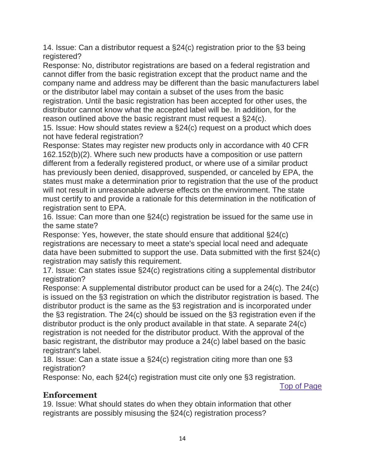14. Issue: Can a distributor request a §24(c) registration prior to the §3 being registered?

Response: No, distributor registrations are based on a federal registration and cannot differ from the basic registration except that the product name and the company name and address may be different than the basic manufacturers label or the distributor label may contain a subset of the uses from the basic registration. Until the basic registration has been accepted for other uses, the distributor cannot know what the accepted label will be. In addition, for the reason outlined above the basic registrant must request a §24(c).

15. Issue: How should states review a §24(c) request on a product which does not have federal registration?

Response: States may register new products only in accordance with 40 CFR 162.152(b)(2). Where such new products have a composition or use pattern different from a federally registered product, or where use of a similar product has previously been denied, disapproved, suspended, or canceled by EPA, the states must make a determination prior to registration that the use of the product will not result in unreasonable adverse effects on the environment. The state must certify to and provide a rationale for this determination in the notification of registration sent to EPA.

16. Issue: Can more than one §24(c) registration be issued for the same use in the same state?

Response: Yes, however, the state should ensure that additional §24(c) registrations are necessary to meet a state's special local need and adequate data have been submitted to support the use. Data submitted with the first §24(c) registration may satisfy this requirement.

17. Issue: Can states issue §24(c) registrations citing a supplemental distributor registration?

Response: A supplemental distributor product can be used for a 24(c). The 24(c) is issued on the §3 registration on which the distributor registration is based. The distributor product is the same as the §3 registration and is incorporated under the §3 registration. The 24(c) should be issued on the §3 registration even if the distributor product is the only product available in that state. A separate 24(c) registration is not needed for the distributor product. With the approval of the basic registrant, the distributor may produce a 24(c) label based on the basic registrant's label.

18. Issue: Can a state issue a §24(c) registration citing more than one §3 registration?

Response: No, each §24(c) registration must cite only one §3 registration.

[Top of Page](https://www.epa.gov/pesticide-registration/guidance-fifra-24c-registrations#main-content)

### **Enforcement**

19. Issue: What should states do when they obtain information that other registrants are possibly misusing the §24(c) registration process?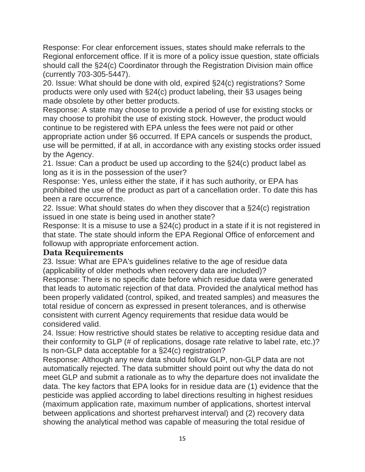Response: For clear enforcement issues, states should make referrals to the Regional enforcement office. If it is more of a policy issue question, state officials should call the §24(c) Coordinator through the Registration Division main office (currently 703-305-5447).

20. Issue: What should be done with old, expired §24(c) registrations? Some products were only used with §24(c) product labeling, their §3 usages being made obsolete by other better products.

Response: A state may choose to provide a period of use for existing stocks or may choose to prohibit the use of existing stock. However, the product would continue to be registered with EPA unless the fees were not paid or other appropriate action under §6 occurred. If EPA cancels or suspends the product, use will be permitted, if at all, in accordance with any existing stocks order issued by the Agency.

21. Issue: Can a product be used up according to the §24(c) product label as long as it is in the possession of the user?

Response: Yes, unless either the state, if it has such authority, or EPA has prohibited the use of the product as part of a cancellation order. To date this has been a rare occurrence.

22. Issue: What should states do when they discover that a §24(c) registration issued in one state is being used in another state?

Response: It is a misuse to use a §24(c) product in a state if it is not registered in that state. The state should inform the EPA Regional Office of enforcement and followup with appropriate enforcement action.

#### **Data Requirements**

23. Issue: What are EPA's guidelines relative to the age of residue data (applicability of older methods when recovery data are included)?

Response: There is no specific date before which residue data were generated that leads to automatic rejection of that data. Provided the analytical method has been properly validated (control, spiked, and treated samples) and measures the total residue of concern as expressed in present tolerances, and is otherwise consistent with current Agency requirements that residue data would be considered valid.

24. Issue: How restrictive should states be relative to accepting residue data and their conformity to GLP (# of replications, dosage rate relative to label rate, etc.)? Is non-GLP data acceptable for a §24(c) registration?

Response: Although any new data should follow GLP, non-GLP data are not automatically rejected. The data submitter should point out why the data do not meet GLP and submit a rationale as to why the departure does not invalidate the data. The key factors that EPA looks for in residue data are (1) evidence that the pesticide was applied according to label directions resulting in highest residues (maximum application rate, maximum number of applications, shortest interval between applications and shortest preharvest interval) and (2) recovery data showing the analytical method was capable of measuring the total residue of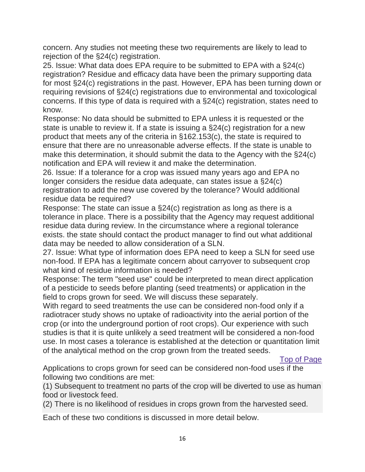concern. Any studies not meeting these two requirements are likely to lead to rejection of the §24(c) registration.

25. Issue: What data does EPA require to be submitted to EPA with a §24(c) registration? Residue and efficacy data have been the primary supporting data for most §24(c) registrations in the past. However, EPA has been turning down or requiring revisions of §24(c) registrations due to environmental and toxicological concerns. If this type of data is required with a §24(c) registration, states need to know.

Response: No data should be submitted to EPA unless it is requested or the state is unable to review it. If a state is issuing a §24(c) registration for a new product that meets any of the criteria in §162.153(c), the state is required to ensure that there are no unreasonable adverse effects. If the state is unable to make this determination, it should submit the data to the Agency with the §24(c) notification and EPA will review it and make the determination.

26. Issue: If a tolerance for a crop was issued many years ago and EPA no longer considers the residue data adequate, can states issue a §24(c) registration to add the new use covered by the tolerance? Would additional residue data be required?

Response: The state can issue a §24(c) registration as long as there is a tolerance in place. There is a possibility that the Agency may request additional residue data during review. In the circumstance where a regional tolerance exists. the state should contact the product manager to find out what additional data may be needed to allow consideration of a SLN.

27. Issue: What type of information does EPA need to keep a SLN for seed use non-food. If EPA has a legitimate concern about carryover to subsequent crop what kind of residue information is needed?

Response: The term "seed use" could be interpreted to mean direct application of a pesticide to seeds before planting (seed treatments) or application in the field to crops grown for seed. We will discuss these separately.

With regard to seed treatments the use can be considered non-food only if a radiotracer study shows no uptake of radioactivity into the aerial portion of the crop (or into the underground portion of root crops). Our experience with such studies is that it is quite unlikely a seed treatment will be considered a non-food use. In most cases a tolerance is established at the detection or quantitation limit of the analytical method on the crop grown from the treated seeds.

[Top of Page](https://www.epa.gov/pesticide-registration/guidance-fifra-24c-registrations#main-content)

Applications to crops grown for seed can be considered non-food uses if the following two conditions are met:

(1) Subsequent to treatment no parts of the crop will be diverted to use as human food or livestock feed.

(2) There is no likelihood of residues in crops grown from the harvested seed.

Each of these two conditions is discussed in more detail below.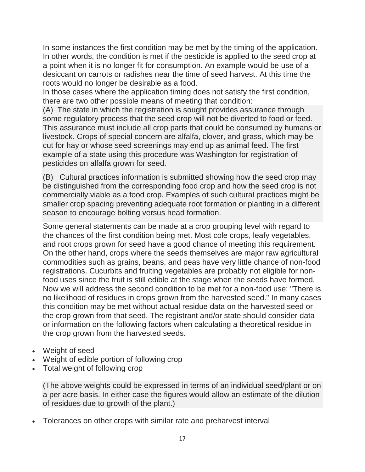In some instances the first condition may be met by the timing of the application. In other words, the condition is met if the pesticide is applied to the seed crop at a point when it is no longer fit for consumption. An example would be use of a desiccant on carrots or radishes near the time of seed harvest. At this time the roots would no longer be desirable as a food.

In those cases where the application timing does not satisfy the first condition, there are two other possible means of meeting that condition:

(A) The state in which the registration is sought provides assurance through some regulatory process that the seed crop will not be diverted to food or feed. This assurance must include all crop parts that could be consumed by humans or livestock. Crops of special concern are alfalfa, clover, and grass, which may be cut for hay or whose seed screenings may end up as animal feed. The first example of a state using this procedure was Washington for registration of pesticides on alfalfa grown for seed.

(B) Cultural practices information is submitted showing how the seed crop may be distinguished from the corresponding food crop and how the seed crop is not commercially viable as a food crop. Examples of such cultural practices might be smaller crop spacing preventing adequate root formation or planting in a different season to encourage bolting versus head formation.

Some general statements can be made at a crop grouping level with regard to the chances of the first condition being met. Most cole crops, leafy vegetables, and root crops grown for seed have a good chance of meeting this requirement. On the other hand, crops where the seeds themselves are major raw agricultural commodities such as grains, beans, and peas have very little chance of non-food registrations. Cucurbits and fruiting vegetables are probably not eligible for nonfood uses since the fruit is still edible at the stage when the seeds have formed. Now we will address the second condition to be met for a non-food use: "There is no likelihood of residues in crops grown from the harvested seed." In many cases this condition may be met without actual residue data on the harvested seed or the crop grown from that seed. The registrant and/or state should consider data or information on the following factors when calculating a theoretical residue in the crop grown from the harvested seeds.

- Weight of seed
- Weight of edible portion of following crop
- Total weight of following crop

(The above weights could be expressed in terms of an individual seed/plant or on a per acre basis. In either case the figures would allow an estimate of the dilution of residues due to growth of the plant.)

Tolerances on other crops with similar rate and preharvest interval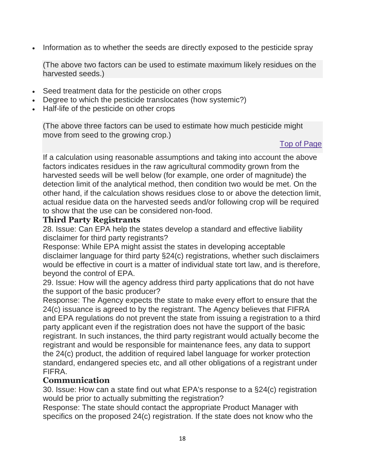• Information as to whether the seeds are directly exposed to the pesticide spray

(The above two factors can be used to estimate maximum likely residues on the harvested seeds.)

- Seed treatment data for the pesticide on other crops
- Degree to which the pesticide translocates (how systemic?)
- Half-life of the pesticide on other crops

(The above three factors can be used to estimate how much pesticide might move from seed to the growing crop.)

### [Top of Page](https://www.epa.gov/pesticide-registration/guidance-fifra-24c-registrations#main-content)

If a calculation using reasonable assumptions and taking into account the above factors indicates residues in the raw agricultural commodity grown from the harvested seeds will be well below (for example, one order of magnitude) the detection limit of the analytical method, then condition two would be met. On the other hand, if the calculation shows residues close to or above the detection limit, actual residue data on the harvested seeds and/or following crop will be required to show that the use can be considered non-food.

### **Third Party Registrants**

28. Issue: Can EPA help the states develop a standard and effective liability disclaimer for third party registrants?

Response: While EPA might assist the states in developing acceptable disclaimer language for third party §24(c) registrations, whether such disclaimers would be effective in court is a matter of individual state tort law, and is therefore, beyond the control of EPA.

29. Issue: How will the agency address third party applications that do not have the support of the basic producer?

Response: The Agency expects the state to make every effort to ensure that the 24(c) issuance is agreed to by the registrant. The Agency believes that FIFRA and EPA regulations do not prevent the state from issuing a registration to a third party applicant even if the registration does not have the support of the basic registrant. In such instances, the third party registrant would actually become the registrant and would be responsible for maintenance fees, any data to support the 24(c) product, the addition of required label language for worker protection standard, endangered species etc, and all other obligations of a registrant under FIFRA.

#### **Communication**

30. Issue: How can a state find out what EPA's response to a §24(c) registration would be prior to actually submitting the registration?

Response: The state should contact the appropriate Product Manager with specifics on the proposed 24(c) registration. If the state does not know who the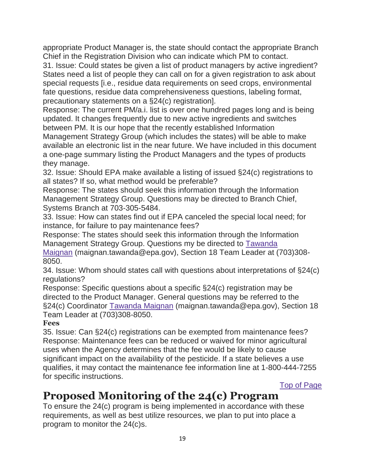appropriate Product Manager is, the state should contact the appropriate Branch Chief in the Registration Division who can indicate which PM to contact.

31. Issue: Could states be given a list of product managers by active ingredient? States need a list of people they can call on for a given registration to ask about special requests [i.e., residue data requirements on seed crops, environmental fate questions, residue data comprehensiveness questions, labeling format, precautionary statements on a §24(c) registration].

Response: The current PM/a.i. list is over one hundred pages long and is being updated. It changes frequently due to new active ingredients and switches between PM. It is our hope that the recently established Information

Management Strategy Group (which includes the states) will be able to make available an electronic list in the near future. We have included in this document a one-page summary listing the Product Managers and the types of products they manage.

32. Issue: Should EPA make available a listing of issued §24(c) registrations to all states? If so, what method would be preferable?

Response: The states should seek this information through the Information Management Strategy Group. Questions may be directed to Branch Chief, Systems Branch at 703-305-5484.

33. Issue: How can states find out if EPA canceled the special local need; for instance, for failure to pay maintenance fees?

Response: The states should seek this information through the Information Management Strategy Group. Questions my be directed to [Tawanda](mailto:maignan.tawanda@epa.gov)  [Maignan](mailto:maignan.tawanda@epa.gov) (maignan.tawanda@epa.gov), Section 18 Team Leader at (703)308-

8050.

34. Issue: Whom should states call with questions about interpretations of §24(c) regulations?

Response: Specific questions about a specific §24(c) registration may be directed to the Product Manager. General questions may be referred to the §24(c) Coordinator [Tawanda Maignan](mailto:maignan.tawanda@epa.gov) (maignan.tawanda@epa.gov), Section 18 Team Leader at (703)308-8050.

### **Fees**

35. Issue: Can §24(c) registrations can be exempted from maintenance fees? Response: Maintenance fees can be reduced or waived for minor agricultural uses when the Agency determines that the fee would be likely to cause significant impact on the availability of the pesticide. If a state believes a use qualifies, it may contact the maintenance fee information line at 1-800-444-7255 for specific instructions.

[Top of Page](https://www.epa.gov/pesticide-registration/guidance-fifra-24c-registrations#main-content)

# **Proposed Monitoring of the 24(c) Program**

To ensure the 24(c) program is being implemented in accordance with these requirements, as well as best utilize resources, we plan to put into place a program to monitor the 24(c)s.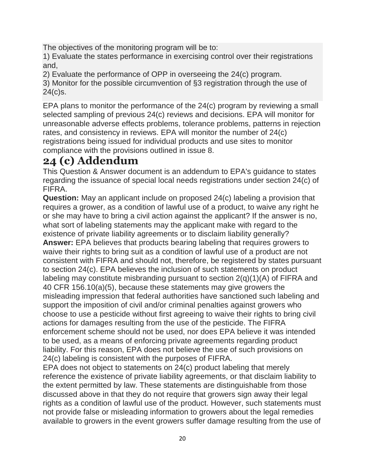The objectives of the monitoring program will be to:

1) Evaluate the states performance in exercising control over their registrations and,

2) Evaluate the performance of OPP in overseeing the 24(c) program.

3) Monitor for the possible circumvention of §3 registration through the use of 24(c)s.

EPA plans to monitor the performance of the 24(c) program by reviewing a small selected sampling of previous 24(c) reviews and decisions. EPA will monitor for unreasonable adverse effects problems, tolerance problems, patterns in rejection rates, and consistency in reviews. EPA will monitor the number of 24(c) registrations being issued for individual products and use sites to monitor compliance with the provisions outlined in issue 8.

# **24 (c) Addendum**

This Question & Answer document is an addendum to EPA's guidance to states regarding the issuance of special local needs registrations under section 24(c) of FIFRA.

**Question:** May an applicant include on proposed 24(c) labeling a provision that requires a grower, as a condition of lawful use of a product, to waive any right he or she may have to bring a civil action against the applicant? If the answer is no, what sort of labeling statements may the applicant make with regard to the existence of private liability agreements or to disclaim liability generally? **Answer:** EPA believes that products bearing labeling that requires growers to waive their rights to bring suit as a condition of lawful use of a product are not consistent with FIFRA and should not, therefore, be registered by states pursuant to section 24(c). EPA believes the inclusion of such statements on product labeling may constitute misbranding pursuant to section 2(q)(1)(A) of FIFRA and 40 CFR 156.10(a)(5), because these statements may give growers the misleading impression that federal authorities have sanctioned such labeling and support the imposition of civil and/or criminal penalties against growers who choose to use a pesticide without first agreeing to waive their rights to bring civil actions for damages resulting from the use of the pesticide. The FIFRA enforcement scheme should not be used, nor does EPA believe it was intended to be used, as a means of enforcing private agreements regarding product liability. For this reason, EPA does not believe the use of such provisions on 24(c) labeling is consistent with the purposes of FIFRA.

EPA does not object to statements on 24(c) product labeling that merely reference the existence of private liability agreements, or that disclaim liability to the extent permitted by law. These statements are distinguishable from those discussed above in that they do not require that growers sign away their legal rights as a condition of lawful use of the product. However, such statements must not provide false or misleading information to growers about the legal remedies available to growers in the event growers suffer damage resulting from the use of